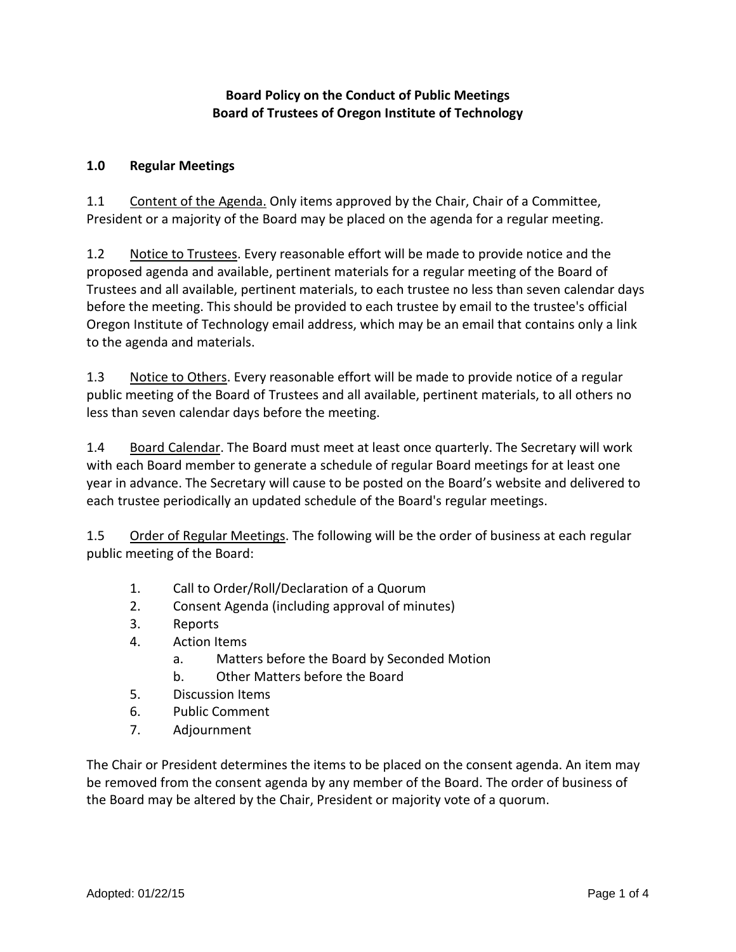### **Board Policy on the Conduct of Public Meetings Board of Trustees of Oregon Institute of Technology**

#### **1.0 Regular Meetings**

1.1 Content of the Agenda. Only items approved by the Chair, Chair of a Committee, President or a majority of the Board may be placed on the agenda for a regular meeting.

1.2 Notice to Trustees. Every reasonable effort will be made to provide notice and the proposed agenda and available, pertinent materials for a regular meeting of the Board of Trustees and all available, pertinent materials, to each trustee no less than seven calendar days before the meeting. This should be provided to each trustee by email to the trustee's official Oregon Institute of Technology email address, which may be an email that contains only a link to the agenda and materials.

1.3 Notice to Others. Every reasonable effort will be made to provide notice of a regular public meeting of the Board of Trustees and all available, pertinent materials, to all others no less than seven calendar days before the meeting.

1.4 Board Calendar. The Board must meet at least once quarterly. The Secretary will work with each Board member to generate a schedule of regular Board meetings for at least one year in advance. The Secretary will cause to be posted on the Board's website and delivered to each trustee periodically an updated schedule of the Board's regular meetings.

1.5 Order of Regular Meetings. The following will be the order of business at each regular public meeting of the Board:

- 1. Call to Order/Roll/Declaration of a Quorum
- 2. Consent Agenda (including approval of minutes)
- 3. Reports
- 4. Action Items
	- a. Matters before the Board by Seconded Motion
	- b. Other Matters before the Board
- 5. Discussion Items
- 6. Public Comment
- 7. Adjournment

The Chair or President determines the items to be placed on the consent agenda. An item may be removed from the consent agenda by any member of the Board. The order of business of the Board may be altered by the Chair, President or majority vote of a quorum.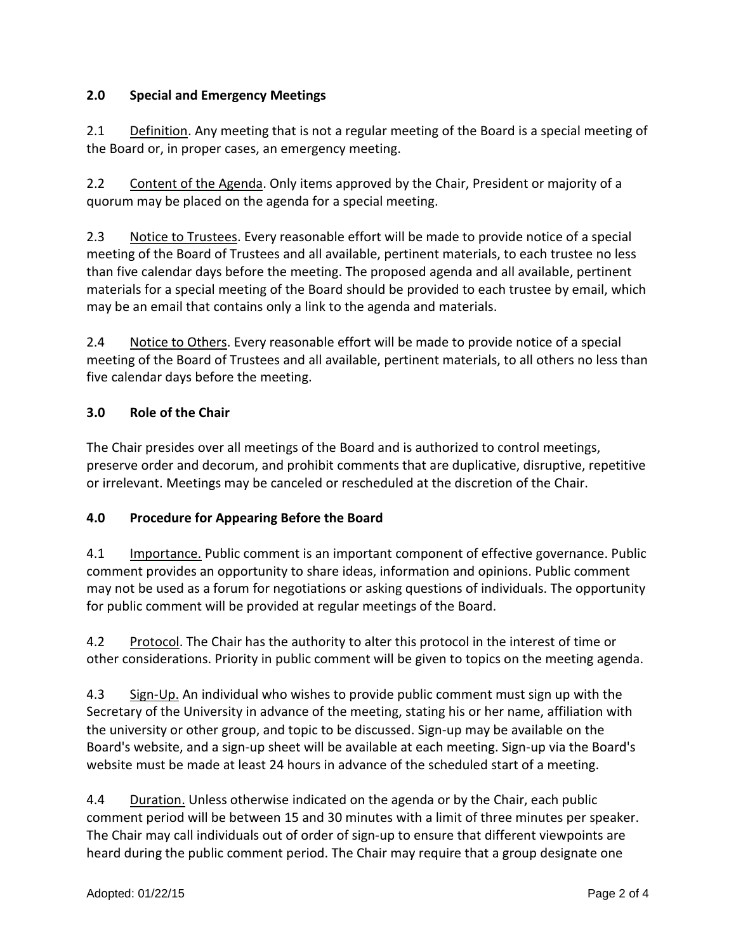### **2.0 Special and Emergency Meetings**

2.1 Definition. Any meeting that is not a regular meeting of the Board is a special meeting of the Board or, in proper cases, an emergency meeting.

2.2 Content of the Agenda. Only items approved by the Chair, President or majority of a quorum may be placed on the agenda for a special meeting.

2.3 Notice to Trustees. Every reasonable effort will be made to provide notice of a special meeting of the Board of Trustees and all available, pertinent materials, to each trustee no less than five calendar days before the meeting. The proposed agenda and all available, pertinent materials for a special meeting of the Board should be provided to each trustee by email, which may be an email that contains only a link to the agenda and materials.

2.4 Notice to Others. Every reasonable effort will be made to provide notice of a special meeting of the Board of Trustees and all available, pertinent materials, to all others no less than five calendar days before the meeting.

## **3.0 Role of the Chair**

The Chair presides over all meetings of the Board and is authorized to control meetings, preserve order and decorum, and prohibit comments that are duplicative, disruptive, repetitive or irrelevant. Meetings may be canceled or rescheduled at the discretion of the Chair.

#### **4.0 Procedure for Appearing Before the Board**

4.1 Importance. Public comment is an important component of effective governance. Public comment provides an opportunity to share ideas, information and opinions. Public comment may not be used as a forum for negotiations or asking questions of individuals. The opportunity for public comment will be provided at regular meetings of the Board.

4.2 Protocol. The Chair has the authority to alter this protocol in the interest of time or other considerations. Priority in public comment will be given to topics on the meeting agenda.

4.3 Sign-Up. An individual who wishes to provide public comment must sign up with the Secretary of the University in advance of the meeting, stating his or her name, affiliation with the university or other group, and topic to be discussed. Sign-up may be available on the Board's website, and a sign-up sheet will be available at each meeting. Sign-up via the Board's website must be made at least 24 hours in advance of the scheduled start of a meeting.

4.4 Duration. Unless otherwise indicated on the agenda or by the Chair, each public comment period will be between 15 and 30 minutes with a limit of three minutes per speaker. The Chair may call individuals out of order of sign-up to ensure that different viewpoints are heard during the public comment period. The Chair may require that a group designate one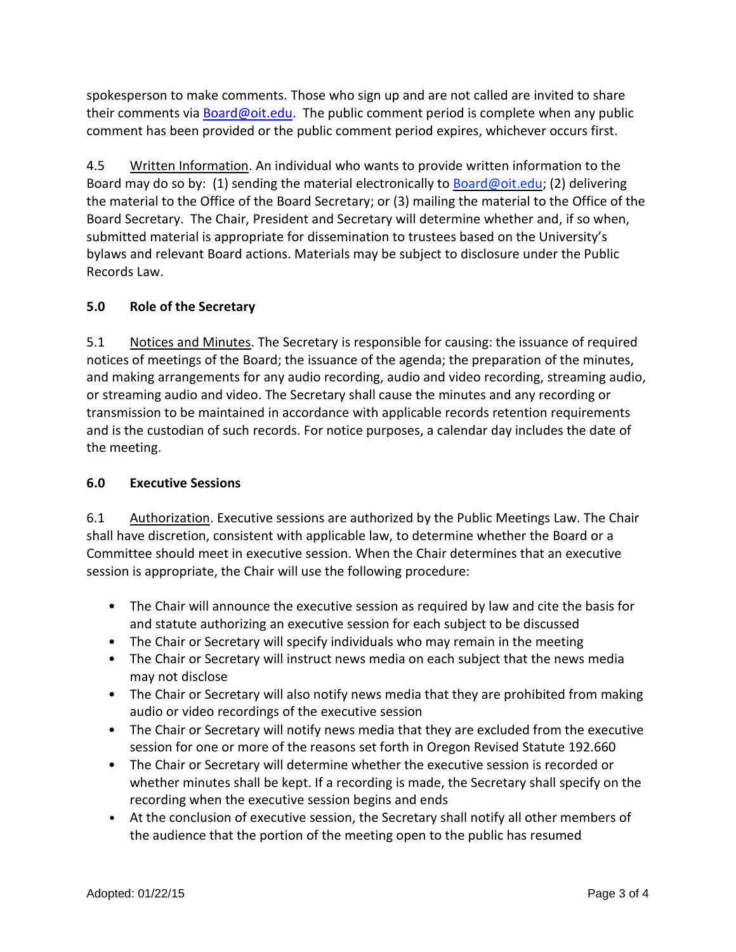spokesperson to make comments. Those who sign up and are not called are invited to share their comments via [Board@oit.edu.](mailto:Board@oit.edu) The public comment period is complete when any public comment has been provided or the public comment period expires, whichever occurs first.

4.5 Written Information. An individual who wants to provide written information to the Board may do so by: (1) sending the material electronically to Board@oit.edu; (2) delivering the material to the Office of the Board Secretary; or (3) mailing the material to the Office of the Board Secretary. The Chair, President and Secretary will determine whether and, if so when, submitted material is appropriate for dissemination to trustees based on the University's bylaws and relevant Board actions. Materials may be subject to disclosure under the Public Records Law.

#### **5.0 Role of the Secretary**

5.1 Notices and Minutes. The Secretary is responsible for causing: the issuance of required notices of meetings of the Board; the issuance of the agenda; the preparation of the minutes, and making arrangements for any audio recording, audio and video recording, streaming audio, or streaming audio and video. The Secretary shall cause the minutes and any recording or transmission to be maintained in accordance with applicable records retention requirements and is the custodian of such records. For notice purposes, a calendar day includes the date of the meeting.

#### **6.0 Executive Sessions**

6.1 Authorization. Executive sessions are authorized by the Public Meetings Law. The Chair shall have discretion, consistent with applicable law, to determine whether the Board or a Committee should meet in executive session. When the Chair determines that an executive session is appropriate, the Chair will use the following procedure:

- The Chair will announce the executive session as required by law and cite the basis for and statute authorizing an executive session for each subject to be discussed
- The Chair or Secretary will specify individuals who may remain in the meeting
- The Chair or Secretary will instruct news media on each subject that the news media may not disclose
- The Chair or Secretary will also notify news media that they are prohibited from making audio or video recordings of the executive session
- The Chair or Secretary will notify news media that they are excluded from the executive session for one or more of the reasons set forth in Oregon Revised Statute 192.660
- The Chair or Secretary will determine whether the executive session is recorded or whether minutes shall be kept. If a recording is made, the Secretary shall specify on the recording when the executive session begins and ends
- At the conclusion of executive session, the Secretary shall notify all other members of the audience that the portion of the meeting open to the public has resumed